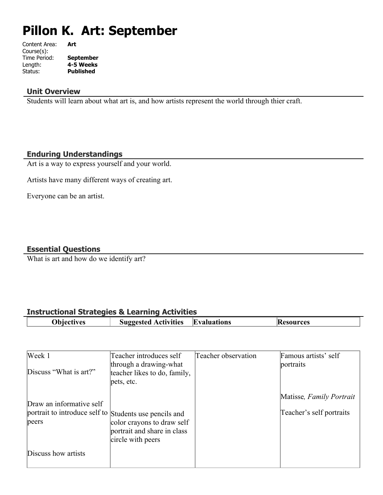# **Pillon K. Art: September**

| Art              |
|------------------|
|                  |
| <b>September</b> |
| 4-5 Weeks        |
| <b>Published</b> |
|                  |

### **Unit Overview**

Students will learn about what art is, and how artists represent the world through thier craft.

#### **Enduring Understandings**

Art is a way to express yourself and your world.

Artists have many different ways of creating art.

Everyone can be an artist.

### **Essential Questions**

What is art and how do we identify art?

### **Instructional Strategies & Learning Activities**

| ves | <b>Activities</b><br>Suggested<br>-- | Evaluations<br>. | urces<br>- 13 F<br>. . |
|-----|--------------------------------------|------------------|------------------------|
|     |                                      |                  |                        |

| Week 1                                                          | Teacher introduces self                                                        | Teacher observation | Famous artists' self     |
|-----------------------------------------------------------------|--------------------------------------------------------------------------------|---------------------|--------------------------|
| Discuss "What is art?"                                          | through a drawing-what<br>teacher likes to do, family,<br>pets, etc.           |                     | portraits                |
| Draw an informative self                                        |                                                                                |                     | Matisse, Family Portrait |
| portrait to introduce self to Students use pencils and<br>peers | color crayons to draw self<br>portrait and share in class<br>circle with peers |                     | Teacher's self portraits |
| Discuss how artists                                             |                                                                                |                     |                          |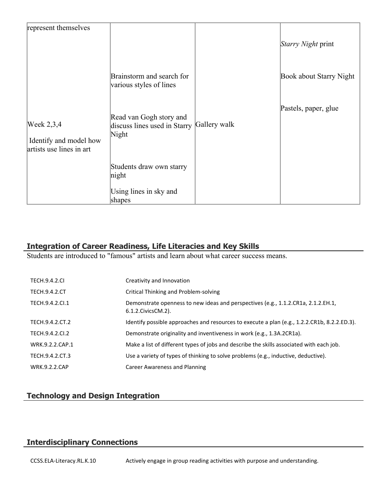| represent themselves                                               |                                                                  |              |                           |
|--------------------------------------------------------------------|------------------------------------------------------------------|--------------|---------------------------|
|                                                                    |                                                                  |              | <i>Starry Night</i> print |
|                                                                    | Brainstorm and search for<br>various styles of lines             |              | Book about Starry Night   |
| Week $2,3,4$<br>Identify and model how<br>artists use lines in art | Read van Gogh story and<br>discuss lines used in Starry<br>Night | Gallery walk | Pastels, paper, glue      |
|                                                                    | Students draw own starry<br>night                                |              |                           |
|                                                                    | Using lines in sky and<br>shapes                                 |              |                           |

# **Integration of Career Readiness, Life Literacies and Key Skills**

Students are introduced to "famous" artists and learn about what career success means.

| <b>TECH.9.4.2.CL</b> | Creativity and Innovation                                                                                  |
|----------------------|------------------------------------------------------------------------------------------------------------|
| <b>TECH.9.4.2.CT</b> | Critical Thinking and Problem-solving                                                                      |
| TECH.9.4.2.Cl.1      | Demonstrate openness to new ideas and perspectives (e.g., 1.1.2.CR1a, 2.1.2.EH.1,<br>6.1.2. Civics CM. 2). |
| TECH.9.4.2.CT.2      | Identify possible approaches and resources to execute a plan (e.g., 1.2.2.CR1b, 8.2.2.ED.3).               |
| TECH.9.4.2.CI.2      | Demonstrate originality and inventiveness in work (e.g., 1.3A.2CR1a).                                      |
| WRK.9.2.2.CAP.1      | Make a list of different types of jobs and describe the skills associated with each job.                   |
| TECH.9.4.2.CT.3      | Use a variety of types of thinking to solve problems (e.g., inductive, deductive).                         |
| <b>WRK.9.2.2.CAP</b> | Career Awareness and Planning                                                                              |

# **Technology and Design Integration**

# **Interdisciplinary Connections**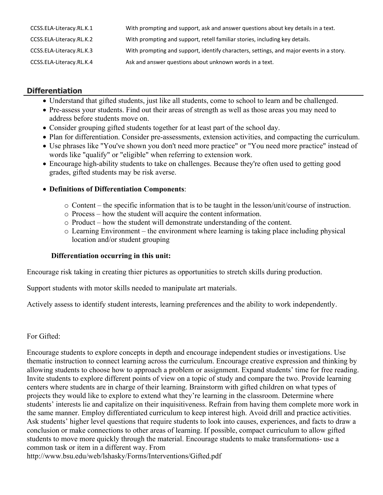| CCSS.ELA-Literacy.RL.K.1 | With prompting and support, ask and answer questions about key details in a text.       |
|--------------------------|-----------------------------------------------------------------------------------------|
| CCSS.ELA-Literacy.RL.K.2 | With prompting and support, retell familiar stories, including key details.             |
| CCSS.ELA-Literacy.RL.K.3 | With prompting and support, identify characters, settings, and major events in a story. |
| CCSS.ELA-Literacy.RL.K.4 | Ask and answer questions about unknown words in a text.                                 |

# **Differentiation**

- Understand that gifted students, just like all students, come to school to learn and be challenged.
- Pre-assess your students. Find out their areas of strength as well as those areas you may need to address before students move on.
- Consider grouping gifted students together for at least part of the school day.
- Plan for differentiation. Consider pre-assessments, extension activities, and compacting the curriculum.
- Use phrases like "You've shown you don't need more practice" or "You need more practice" instead of words like "qualify" or "eligible" when referring to extension work.
- Encourage high-ability students to take on challenges. Because they're often used to getting good grades, gifted students may be risk averse.

# **Definitions of Differentiation Components**:

- o Content the specific information that is to be taught in the lesson/unit/course of instruction.
- o Process how the student will acquire the content information.
- o Product how the student will demonstrate understanding of the content.
- o Learning Environment the environment where learning is taking place including physical location and/or student grouping

# **Differentiation occurring in this unit:**

Encourage risk taking in creating thier pictures as opportunities to stretch skills during production.

Support students with motor skills needed to manipulate art materials.

Actively assess to identify student interests, learning preferences and the ability to work independently.

# For Gifted:

Encourage students to explore concepts in depth and encourage independent studies or investigations. Use thematic instruction to connect learning across the curriculum. Encourage creative expression and thinking by allowing students to choose how to approach a problem or assignment. Expand students' time for free reading. Invite students to explore different points of view on a topic of study and compare the two. Provide learning centers where students are in charge of their learning. Brainstorm with gifted children on what types of projects they would like to explore to extend what they're learning in the classroom. Determine where students' interests lie and capitalize on their inquisitiveness. Refrain from having them complete more work in the same manner. Employ differentiated curriculum to keep interest high. Avoid drill and practice activities. Ask students' higher level questions that require students to look into causes, experiences, and facts to draw a conclusion or make connections to other areas of learning. If possible, compact curriculum to allow gifted students to move more quickly through the material. Encourage students to make transformations- use a common task or item in a different way. From http://www.bsu.edu/web/lshasky/Forms/Interventions/Gifted.pdf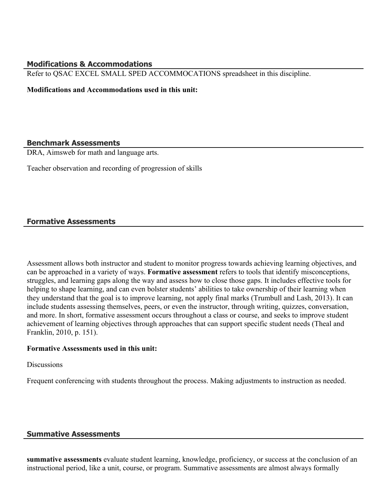#### **Modifications & Accommodations**

Refer to QSAC EXCEL SMALL SPED ACCOMMOCATIONS spreadsheet in this discipline.

**Modifications and Accommodations used in this unit:**

#### **Benchmark Assessments**

DRA, Aimsweb for math and language arts.

Teacher observation and recording of progression of skills

#### **Formative Assessments**

Assessment allows both instructor and student to monitor progress towards achieving learning objectives, and can be approached in a variety of ways. **Formative assessment** refers to tools that identify misconceptions, struggles, and learning gaps along the way and assess how to close those gaps. It includes effective tools for helping to shape learning, and can even bolster students' abilities to take ownership of their learning when they understand that the goal is to improve learning, not apply final marks (Trumbull and Lash, 2013). It can include students assessing themselves, peers, or even the instructor, through writing, quizzes, conversation, and more. In short, formative assessment occurs throughout a class or course, and seeks to improve student achievement of learning objectives through approaches that can support specific student needs (Theal and Franklin, 2010, p. 151).

#### **Formative Assessments used in this unit:**

**Discussions** 

Frequent conferencing with students throughout the process. Making adjustments to instruction as needed.

#### **Summative Assessments**

**summative assessments** evaluate student learning, knowledge, proficiency, or success at the conclusion of an instructional period, like a unit, course, or program. Summative assessments are almost always formally